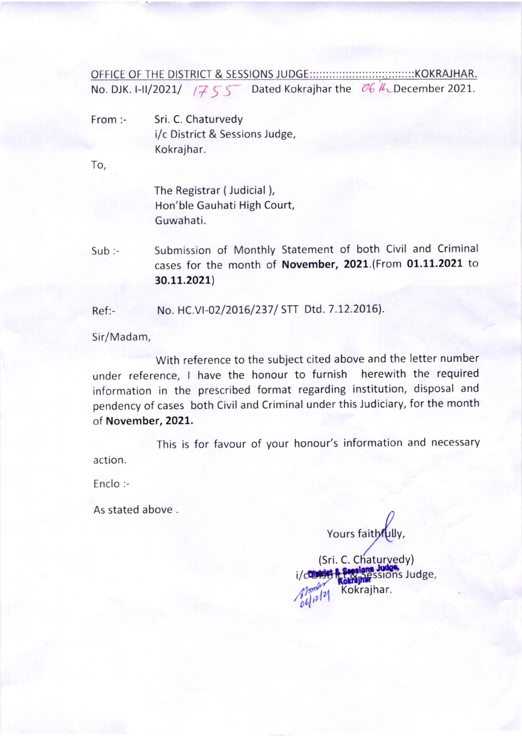OFFICE F THE DISTRICT & SESSIONS JUDGE KOKRAJHAR. No. DJK. I-II/2021/  $1755$  Dated Kokrajhar the  $06$  /L December 2021.

From:- Sri. C. Chaturvedy i/c District & Sessions Judge, Kokrajhar.

To,

The Registrar (Judicial ), Hon'ble Gauhati High Court, Guwahati.

Sub:- Submission of Monthly Statement of both Civil and Criminal cases for the month of November, 2021.(From 01.11.2021 to 30.11.2021)

Ref:- No. HC.VI-02/2016/237/ STT Dtd. 7.12.2016).

Sir/Madam,

With reference to the subject cited above and the letter number under reference, I have the honour to furnish herewith the required information in the prescribed format regarding institution, disposal and pendency of cases both civil and criminal under this Judiciary, for the month of November, 2021.

This is for favour of your honour's information and necessary action.

Enclo:-

As stated above.

Yours faithfully,

i/constitution Sessions Judge, (Sri. C. Chaturyedy) Kokrajhar.  $\mathbb{Z}^{|\mathcal{V}|}$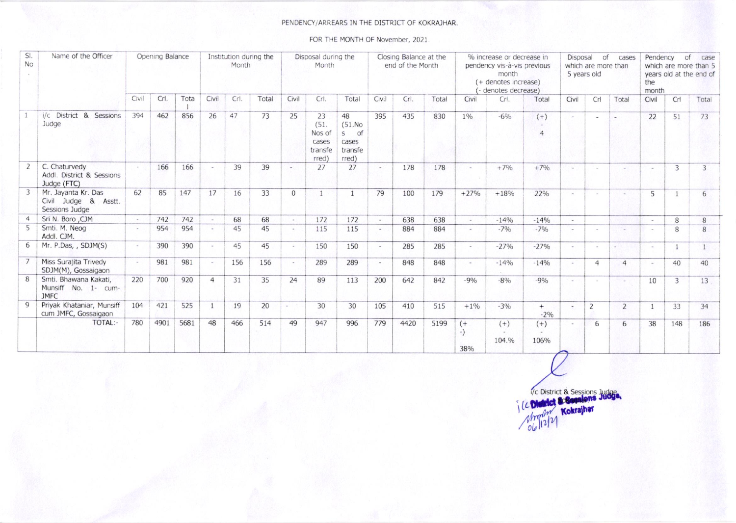## PENDENCY/ARREARS IN THE DISTRICT OF KOKRAJHAR.

FOR THE MONTH OF November, 2021.

| SI.<br>No    | Name of the Officer                                              | Opening Balance |      |      | Institution during the<br>Month |      |       | Disposal during the<br>Month |                                                   |                                                                 | Closing Balance at the<br>end of the Month |      |       | % increase or decrease in<br>pendency vis-à-vis previous<br>month<br>(+ denotes increase)<br>denotes decrease) |                          |                         | Disposal of<br>cases<br>which are more than<br>5 years old |                |                | Pendency<br>of<br>case<br>which are more than 5<br>years old at the end of<br>the<br>month |                |       |
|--------------|------------------------------------------------------------------|-----------------|------|------|---------------------------------|------|-------|------------------------------|---------------------------------------------------|-----------------------------------------------------------------|--------------------------------------------|------|-------|----------------------------------------------------------------------------------------------------------------|--------------------------|-------------------------|------------------------------------------------------------|----------------|----------------|--------------------------------------------------------------------------------------------|----------------|-------|
|              |                                                                  | Civil           | Crl. | Tota | Civil                           | Crl. | Total | Civil                        | Crl.                                              | Total                                                           | Civil                                      | Crl. | Total | Civil                                                                                                          | Crl.                     | Total                   | Civil                                                      | Crl            | Total          | Civil                                                                                      | Cr1            | Total |
|              | i/c District &<br>Sessions<br>Judge                              | 394             | 462  | 856  | 26                              | 47   | 73    | 25                           | 23<br>(51.<br>Nos of<br>cases<br>transfe<br>rred) | 48<br>(51.No<br><sub>of</sub><br>S<br>cases<br>transfe<br>rred) | 395                                        | 435  | 830   | $1\%$                                                                                                          | $-6%$                    | $(+)$<br>$\overline{4}$ | $\sim$                                                     | $\sim$         | $\sim$         | 22                                                                                         | 51             | 73    |
|              | C. Chaturvedy<br>Addl. District & Sessions<br>Judge (FTC)        |                 | 166  | 166  |                                 | 39   | 39    | $\sim$ 1                     | 27                                                | 27                                                              | $\sim$                                     | 178  | 178   | $\sim$                                                                                                         | $+7%$                    | $+7%$                   | a la                                                       |                |                |                                                                                            | 3              | 3     |
| 3            | Mr. Jayanta Kr. Das<br>Civil Judge &<br>Asstt.<br>Sessions Judge | 62              | 85   | 147  | 17                              | 16   | 33    | $\Omega$                     | $\rightarrow$                                     | $\mathbf{1}$                                                    | 79                                         | 100  | 179   | $+27%$                                                                                                         | $+18%$                   | 22%                     | $\sim$                                                     |                |                | 5                                                                                          | $\overline{1}$ | 6     |
|              | Sri N. Boro , CJM                                                | $\sim$          | 742  | 742  | $\sim$                          | 68   | 68    | $\sim$                       | 172                                               | 172                                                             | $\sim$                                     | 638  | 638   | $\overline{a}$                                                                                                 | $-14%$                   | $-14%$                  | $\sim$                                                     |                |                |                                                                                            | 8              | 8     |
|              | Smti. M. Neog<br>Addl. CJM.                                      |                 | 954  | 954  | $\overline{a}$                  | 45   | 45    | $\sim$                       | 115                                               | 115                                                             | $\overline{\phantom{a}}$                   | 884  | 884   | $\overline{\phantom{a}}$                                                                                       | $-7%$                    | $-7%$                   | $\sim$                                                     |                |                |                                                                                            | 8              | 8     |
|              | Mr. P.Das, , SDJM(S)                                             |                 | 390  | 390  |                                 | 45   | 45    | $\sim$                       | 150                                               | 150                                                             | $\overline{a}$                             | 285  | 285   | $\overline{\phantom{a}}$                                                                                       | $-27%$                   | $-27%$                  | $\sim$                                                     | $\overline{a}$ |                |                                                                                            |                |       |
|              | Miss Surajita Trivedy<br>SDJM(M), Gossaigaon                     | $\sim$          | 981  | 981  |                                 | 156  | 156   | $\sim$                       | 289                                               | 289                                                             | $\overline{a}$                             | 848  | 848   | $\sim$                                                                                                         | $-14%$                   | $-14%$                  | $-$                                                        | $\overline{4}$ | $\overline{a}$ |                                                                                            | 40             | 40    |
| 8            | Smti. Bhawana Kakati,<br>Munsiff No. 1- cum-<br><b>JMFC</b>      | 220             | 700  | 920  | $\overline{4}$                  | 31   | 35    | 24                           | 89                                                | 113                                                             | 200                                        | 642  | 842   | $-9%$                                                                                                          | $-8%$                    | $-9%$                   | $\sim$                                                     | $\sim$         | $\sim$         | 10                                                                                         | 3              | 13    |
| $\mathbf{Q}$ | Priyak Khataniar, Munsiff<br>cum JMFC, Gossaigaon                | 104             | 421  | 525  | $\mathbf{1}$                    | 19   | 20    |                              | 30                                                | 30                                                              | 105                                        | 410  | 515   | $+1%$                                                                                                          | $-3%$                    | $+$<br>$-2%$            | $\overline{\phantom{a}}$                                   | $\overline{2}$ | $\overline{2}$ |                                                                                            | 33             | 34    |
|              | TOTAL:-                                                          | 780             | 4901 | 5681 | 48                              | 466  | 514   | 49                           | 947                                               | 996                                                             | 779                                        | 4420 | 5199  | $(+$<br>$-$<br>380/                                                                                            | $(+)$<br>$\sim$<br>104.% | $(+)$<br>$\sim$<br>106% | $\sim$                                                     | 6              | 6              | 38                                                                                         | 148            | 186   |

Vc District & Sessions Judge Kokrajhar mbo  $06$ ||2|2